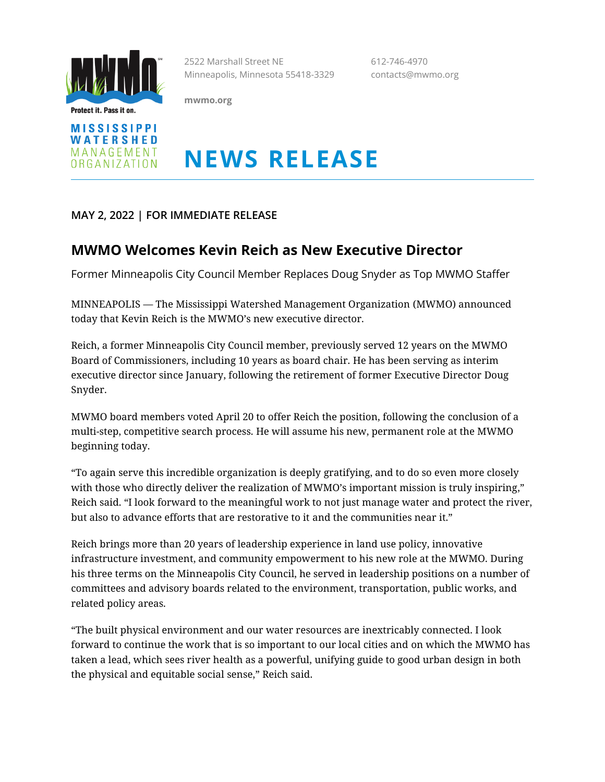

Protect it. Pass it on.



2522 Marshall Street NE 612-746-4970 Minneapolis, Minnesota 55418-3329 contacts@mwmo.org

**mwmo.org**

# **NEWS RELEASE**

## **MAY 2, 2022 | FOR IMMEDIATE RELEASE**

## **MWMO Welcomes Kevin Reich as New Executive Director**

Former Minneapolis City Council Member Replaces Doug Snyder as Top MWMO Staffer

MINNEAPOLIS — The Mississippi Watershed Management Organization (MWMO) announced today that Kevin Reich is the MWMO's new executive director.

Reich, a former Minneapolis City Council member, previously served 12 years on the MWMO Board of Commissioners, including 10 years as board chair. He has been serving as interim executive director since January, following the retirement of former Executive Director Doug Snyder.

MWMO board members voted April 20 to offer Reich the position, following the conclusion of a multi-step, competitive search process. He will assume his new, permanent role at the MWMO beginning today.

"To again serve this incredible organization is deeply gratifying, and to do so even more closely with those who directly deliver the realization of MWMO's important mission is truly inspiring," Reich said. "I look forward to the meaningful work to not just manage water and protect the river, but also to advance efforts that are restorative to it and the communities near it."

Reich brings more than 20 years of leadership experience in land use policy, innovative infrastructure investment, and community empowerment to his new role at the MWMO. During his three terms on the Minneapolis City Council, he served in leadership positions on a number of committees and advisory boards related to the environment, transportation, public works, and related policy areas.

"The built physical environment and our water resources are inextricably connected. I look forward to continue the work that is so important to our local cities and on which the MWMO has taken a lead, which sees river health as a powerful, unifying guide to good urban design in both the physical and equitable social sense," Reich said.